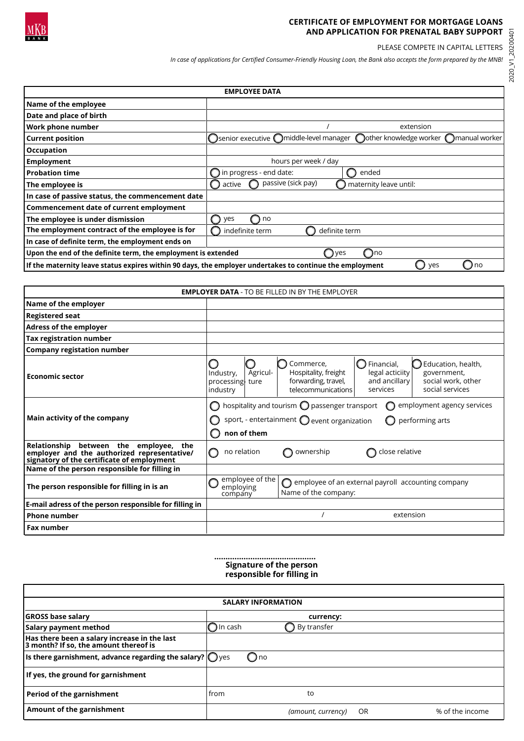

## **CERTIFICATE OF EMPLOYMENT FOR MORTGAGE LOANS AND APPLICATION FOR PRENATAL BABY SUPPORT**

PLEASE COMPETE IN CAPITAL LETTERS

*In case of applications for Certified Consumer-Friendly Housing Loan, the Bank also accepts the form prepared by the MNB!*

2020\_V1\_20200401

| <b>EMPLOYEE DATA</b>                                                                                                      |                                                                                |  |  |  |  |
|---------------------------------------------------------------------------------------------------------------------------|--------------------------------------------------------------------------------|--|--|--|--|
| Name of the employee                                                                                                      |                                                                                |  |  |  |  |
| Date and place of birth                                                                                                   |                                                                                |  |  |  |  |
| Work phone number                                                                                                         | extension                                                                      |  |  |  |  |
| <b>Current position</b>                                                                                                   | ◯senior executive ◯middle-level manager ◯other knowledge worker ◯manual worker |  |  |  |  |
| <b>Occupation</b>                                                                                                         |                                                                                |  |  |  |  |
| <b>Employment</b>                                                                                                         | hours per week / day                                                           |  |  |  |  |
| l Probation time                                                                                                          | $\bigcirc$ in progress - end date:<br>ended                                    |  |  |  |  |
| The employee is                                                                                                           | passive (sick pay)<br>maternity leave until:<br>active                         |  |  |  |  |
| In case of passive status, the commencement date                                                                          |                                                                                |  |  |  |  |
| Commencement date of current employment                                                                                   |                                                                                |  |  |  |  |
| The employee is under dismission                                                                                          | ves<br>no                                                                      |  |  |  |  |
| The employment contract of the employee is for                                                                            | indefinite term<br>definite term                                               |  |  |  |  |
| In case of definite term, the employment ends on                                                                          |                                                                                |  |  |  |  |
| Upon the end of the definite term, the employment is extended<br>∩no<br>yes<br>Ω                                          |                                                                                |  |  |  |  |
| If the maternity leave status expires within 90 days, the employer undertakes to continue the employment<br>( ) no<br>yes |                                                                                |  |  |  |  |

| <b>EMPLOYER DATA - TO BE FILLED IN BY THE EMPLOYER</b>                                                                              |                                                                                                                                                                                |                 |                                                                                       |                                                                 |                                                                              |
|-------------------------------------------------------------------------------------------------------------------------------------|--------------------------------------------------------------------------------------------------------------------------------------------------------------------------------|-----------------|---------------------------------------------------------------------------------------|-----------------------------------------------------------------|------------------------------------------------------------------------------|
| Name of the employer                                                                                                                |                                                                                                                                                                                |                 |                                                                                       |                                                                 |                                                                              |
| <b>Registered seat</b>                                                                                                              |                                                                                                                                                                                |                 |                                                                                       |                                                                 |                                                                              |
| Adress of the employer                                                                                                              |                                                                                                                                                                                |                 |                                                                                       |                                                                 |                                                                              |
| <b>Tax registration number</b>                                                                                                      |                                                                                                                                                                                |                 |                                                                                       |                                                                 |                                                                              |
| <b>Company registation number</b>                                                                                                   |                                                                                                                                                                                |                 |                                                                                       |                                                                 |                                                                              |
| <b>Economic sector</b>                                                                                                              | Industry,<br>processing ture<br>industry                                                                                                                                       | Agricul-        | Commerce,<br>Hospitality, freight<br>forwarding, travel,<br>telecommunications        | Financial,<br>0<br>legal acticiity<br>and ancillary<br>services | C Education, health,<br>government,<br>social work, other<br>social services |
| Main activity of the company                                                                                                        | hospitality and tourism $\bigcirc$ passenger transport<br>employment agency services<br>sport, - entertainment $\bigcirc$ event organization<br>performing arts<br>non of them |                 |                                                                                       |                                                                 |                                                                              |
| Relationship between the employee, the<br>employer and the authorized representative/<br>signatory of the certificate of employment | no relation<br>$\left( \begin{array}{c} \end{array} \right)$                                                                                                                   |                 | ownership                                                                             | close relative                                                  |                                                                              |
| Name of the person responsible for filling in                                                                                       |                                                                                                                                                                                |                 |                                                                                       |                                                                 |                                                                              |
| The person responsible for filling in is an                                                                                         | employing<br>company                                                                                                                                                           | employee of the | $\bigcirc$ employee of an external payroll accounting company<br>Name of the company: |                                                                 |                                                                              |
| E-mail adress of the person responsible for filling in                                                                              |                                                                                                                                                                                |                 |                                                                                       |                                                                 |                                                                              |
| <b>Phone number</b>                                                                                                                 |                                                                                                                                                                                |                 |                                                                                       | extension                                                       |                                                                              |
| <b>Fax number</b>                                                                                                                   |                                                                                                                                                                                |                 |                                                                                       |                                                                 |                                                                              |

## **………...………………..…...……. Signature of the person responsible for filling in**

| <b>SALARY INFORMATION</b>                                                             |                   |               |                    |    |                 |
|---------------------------------------------------------------------------------------|-------------------|---------------|--------------------|----|-----------------|
| <b>GROSS base salary</b>                                                              | currency:         |               |                    |    |                 |
| <b>Salary payment method</b>                                                          | $\bigcap$ In cash |               | By transfer        |    |                 |
| Has there been a salary increase in the last<br>3 month? If so, the amount thereof is |                   |               |                    |    |                 |
| Is there garnishment, advance regarding the salary? $\bigcirc$ yes                    |                   | $\bigcirc$ no |                    |    |                 |
| If yes, the ground for garnishment                                                    |                   |               |                    |    |                 |
| Period of the garnishment                                                             | from              |               | to                 |    |                 |
| Amount of the garnishment                                                             |                   |               | (amount, currency) | OR | % of the income |